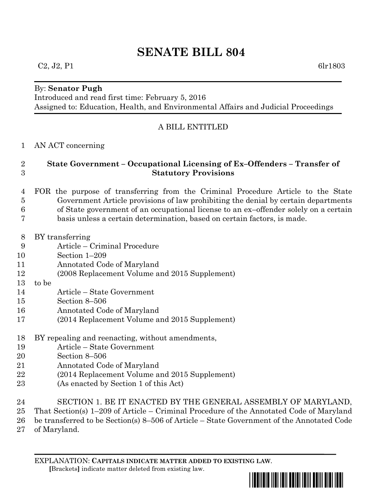# **SENATE BILL 804**

### $C_2$ , J<sub>2</sub>, P<sub>1</sub> 6lr1803

#### By: **Senator Pugh**

Introduced and read first time: February 5, 2016 Assigned to: Education, Health, and Environmental Affairs and Judicial Proceedings

## A BILL ENTITLED

#### AN ACT concerning

# **State Government – Occupational Licensing of Ex–Offenders – Transfer of Statutory Provisions**

- FOR the purpose of transferring from the Criminal Procedure Article to the State Government Article provisions of law prohibiting the denial by certain departments of State government of an occupational license to an ex–offender solely on a certain basis unless a certain determination, based on certain factors, is made.
- BY transferring
- Article Criminal Procedure
- Section 1–209
- Annotated Code of Maryland
- (2008 Replacement Volume and 2015 Supplement)
- to be
- Article State Government
- Section 8–506
- Annotated Code of Maryland
- (2014 Replacement Volume and 2015 Supplement)
- BY repealing and reenacting, without amendments,
- Article State Government
- Section 8–506
- Annotated Code of Maryland
- (2014 Replacement Volume and 2015 Supplement)
- (As enacted by Section 1 of this Act)
- SECTION 1. BE IT ENACTED BY THE GENERAL ASSEMBLY OF MARYLAND,
- That Section(s) 1–209 of Article Criminal Procedure of the Annotated Code of Maryland
- be transferred to be Section(s) 8–506 of Article State Government of the Annotated Code
- of Maryland.

EXPLANATION: **CAPITALS INDICATE MATTER ADDED TO EXISTING LAW**.  **[**Brackets**]** indicate matter deleted from existing law.

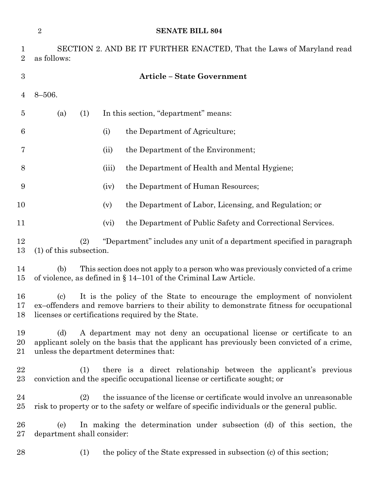|                     | $\overline{2}$<br><b>SENATE BILL 804</b>                                                                                                                                                                                                                |       |                                                                      |
|---------------------|---------------------------------------------------------------------------------------------------------------------------------------------------------------------------------------------------------------------------------------------------------|-------|----------------------------------------------------------------------|
| 1<br>$\overline{2}$ | SECTION 2. AND BE IT FURTHER ENACTED, That the Laws of Maryland read<br>as follows:                                                                                                                                                                     |       |                                                                      |
| $\boldsymbol{3}$    |                                                                                                                                                                                                                                                         |       | <b>Article - State Government</b>                                    |
| 4                   | $8 - 506.$                                                                                                                                                                                                                                              |       |                                                                      |
| $\overline{5}$      | (a)<br>(1)                                                                                                                                                                                                                                              |       | In this section, "department" means:                                 |
| 6                   |                                                                                                                                                                                                                                                         | (i)   | the Department of Agriculture;                                       |
| 7                   |                                                                                                                                                                                                                                                         | (ii)  | the Department of the Environment;                                   |
| 8                   |                                                                                                                                                                                                                                                         | (iii) | the Department of Health and Mental Hygiene;                         |
| 9                   |                                                                                                                                                                                                                                                         | (iv)  | the Department of Human Resources;                                   |
| 10                  |                                                                                                                                                                                                                                                         | (v)   | the Department of Labor, Licensing, and Regulation; or               |
| 11                  |                                                                                                                                                                                                                                                         | (vi)  | the Department of Public Safety and Correctional Services.           |
| 12<br>13            | "Department" includes any unit of a department specified in paragraph<br>(2)<br>(1) of this subsection.                                                                                                                                                 |       |                                                                      |
| 14<br>15            | This section does not apply to a person who was previously convicted of a crime<br>(b)<br>of violence, as defined in $\S 14-101$ of the Criminal Law Article.                                                                                           |       |                                                                      |
| 16<br>17<br>18      | It is the policy of the State to encourage the employment of nonviolent<br>$\left( \mathrm{c}\right)$<br>ex-offenders and remove barriers to their ability to demonstrate fitness for occupational<br>licenses or certifications required by the State. |       |                                                                      |
| 19<br>20<br>21      | (d)<br>A department may not deny an occupational license or certificate to an<br>applicant solely on the basis that the applicant has previously been convicted of a crime,<br>unless the department determines that:                                   |       |                                                                      |
| 22<br>$23\,$        | there is a direct relationship between the applicant's previous<br>(1)<br>conviction and the specific occupational license or certificate sought; or                                                                                                    |       |                                                                      |
| 24<br>$25\,$        | the issuance of the license or certificate would involve an unreasonable<br>(2)<br>risk to property or to the safety or welfare of specific individuals or the general public.                                                                          |       |                                                                      |
| 26<br>$27\,$        | In making the determination under subsection (d) of this section, the<br>(e)<br>department shall consider:                                                                                                                                              |       |                                                                      |
| 28                  | (1)                                                                                                                                                                                                                                                     |       | the policy of the State expressed in subsection (c) of this section; |